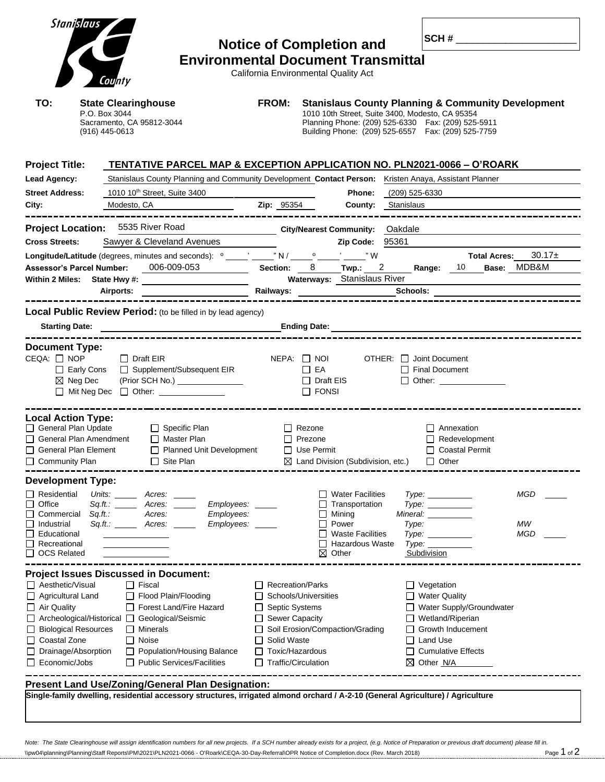|                                                                                                                                 | Stanislaus                                                                                   | County                                                                                                |                                                                                                                                                                                                                                                                                                       | <b>Environmental Document Transmittal</b> |  |                    |                                                                                                                                                                                                                                | <b>Notice of Completion and</b><br>California Environmental Quality Act                                             |  |                                        |                                                                      |                                                                    |                                |                  |  |
|---------------------------------------------------------------------------------------------------------------------------------|----------------------------------------------------------------------------------------------|-------------------------------------------------------------------------------------------------------|-------------------------------------------------------------------------------------------------------------------------------------------------------------------------------------------------------------------------------------------------------------------------------------------------------|-------------------------------------------|--|--------------------|--------------------------------------------------------------------------------------------------------------------------------------------------------------------------------------------------------------------------------|---------------------------------------------------------------------------------------------------------------------|--|----------------------------------------|----------------------------------------------------------------------|--------------------------------------------------------------------|--------------------------------|------------------|--|
| TO:                                                                                                                             | <b>State Clearinghouse</b><br>P.O. Box 3044<br>Sacramento, CA 95812-3044<br>$(916)$ 445-0613 |                                                                                                       |                                                                                                                                                                                                                                                                                                       | <b>FROM:</b>                              |  |                    | <b>Stanislaus County Planning &amp; Community Development</b><br>1010 10th Street, Suite 3400, Modesto, CA 95354<br>Planning Phone: (209) 525-6330  Fax: (209) 525-5911<br>Building Phone: (209) 525-6557  Fax: (209) 525-7759 |                                                                                                                     |  |                                        |                                                                      |                                                                    |                                |                  |  |
| <b>Project Title:</b>                                                                                                           |                                                                                              |                                                                                                       | TENTATIVE PARCEL MAP & EXCEPTION APPLICATION NO. PLN2021-0066 – O'ROARK                                                                                                                                                                                                                               |                                           |  |                    |                                                                                                                                                                                                                                |                                                                                                                     |  |                                        |                                                                      |                                                                    |                                |                  |  |
| <b>Lead Agency:</b>                                                                                                             |                                                                                              | Stanislaus County Planning and Community Development Contact Person: Kristen Anaya, Assistant Planner |                                                                                                                                                                                                                                                                                                       |                                           |  |                    |                                                                                                                                                                                                                                |                                                                                                                     |  |                                        |                                                                      |                                                                    |                                |                  |  |
| <b>Street Address:</b>                                                                                                          |                                                                                              | 1010 10 <sup>th</sup> Street, Suite 3400                                                              |                                                                                                                                                                                                                                                                                                       |                                           |  |                    |                                                                                                                                                                                                                                |                                                                                                                     |  | <b>Phone:</b> (209) 525-6330           |                                                                      |                                                                    |                                |                  |  |
| City:                                                                                                                           |                                                                                              |                                                                                                       | Modesto, CA                                                                                                                                                                                                                                                                                           |                                           |  |                    | Zip: 95354                                                                                                                                                                                                                     | <b>County:</b> Stanislaus                                                                                           |  |                                        |                                                                      |                                                                    |                                |                  |  |
| <b>Project Location:</b>                                                                                                        |                                                                                              |                                                                                                       | 5535 River Road                                                                                                                                                                                                                                                                                       |                                           |  |                    |                                                                                                                                                                                                                                |                                                                                                                     |  |                                        |                                                                      |                                                                    |                                |                  |  |
| <b>Cross Streets:</b>                                                                                                           |                                                                                              | Sawyer & Cleveland Avenues                                                                            |                                                                                                                                                                                                                                                                                                       |                                           |  |                    |                                                                                                                                                                                                                                | <b>City/Nearest Community: Oakdale</b><br>Zip Code: 95361                                                           |  |                                        |                                                                      |                                                                    |                                |                  |  |
|                                                                                                                                 |                                                                                              |                                                                                                       | <b>Longitude/Latitude</b> (degrees, minutes and seconds): $^{\circ}$ _____,' N / _____ <sup>o</sup> ____,' ____," W                                                                                                                                                                                   |                                           |  |                    |                                                                                                                                                                                                                                |                                                                                                                     |  |                                        |                                                                      |                                                                    | <b>Total Acres:</b>            | $30.17 \pm$      |  |
| <b>Assessor's Parcel Number:</b>                                                                                                |                                                                                              |                                                                                                       | 006-009-053                                                                                                                                                                                                                                                                                           |                                           |  |                    |                                                                                                                                                                                                                                | Section: 8 Twp.: 2 Range: 10 Base: MDB&M                                                                            |  |                                        |                                                                      |                                                                    |                                |                  |  |
|                                                                                                                                 |                                                                                              |                                                                                                       | Within 2 Miles: State Hwy #:                                                                                                                                                                                                                                                                          |                                           |  |                    |                                                                                                                                                                                                                                | Waterways: Stanislaus River                                                                                         |  |                                        |                                                                      |                                                                    |                                |                  |  |
|                                                                                                                                 |                                                                                              |                                                                                                       | Airports:                                                                                                                                                                                                                                                                                             |                                           |  |                    |                                                                                                                                                                                                                                |                                                                                                                     |  |                                        |                                                                      |                                                                    |                                |                  |  |
|                                                                                                                                 |                                                                                              |                                                                                                       |                                                                                                                                                                                                                                                                                                       |                                           |  |                    |                                                                                                                                                                                                                                |                                                                                                                     |  |                                        |                                                                      |                                                                    |                                |                  |  |
|                                                                                                                                 |                                                                                              |                                                                                                       | <b>Local Public Review Period:</b> (to be filled in by lead agency)<br>Starting Date: the contract of the contract of the contract of the contract of the contract of the contract of the contract of the contract of the contract of the contract of the contract of the contract of the contract of |                                           |  |                    |                                                                                                                                                                                                                                |                                                                                                                     |  |                                        |                                                                      |                                                                    |                                |                  |  |
|                                                                                                                                 | $\boxtimes$ Neg Dec                                                                          |                                                                                                       | □ Early Cons □ Supplement/Subsequent EIR<br>(Prior SCH No.) ________________<br>□ Mit Neg Dec □ Other:                                                                                                                                                                                                |                                           |  |                    | $\Box$ EA<br>$\Box$ FONSI                                                                                                                                                                                                      | $\Box$ Draft EIS                                                                                                    |  | $\Box$ Final Document                  |                                                                      |                                                                    | □ Other: <u>______________</u> |                  |  |
| <b>Local Action Type:</b><br>General Plan Update<br>$\Box$ General Plan Amendment<br>□ Community Plan                           | General Plan Element                                                                         |                                                                                                       | $\Box$ Specific Plan<br>$\Box$ Master Plan<br>$\Box$ Site Plan                                                                                                                                                                                                                                        | □ Planned Unit Development                |  |                    | $\Box$ Rezone<br>$\Box$ Prezone<br>$\Box$ Use Permit                                                                                                                                                                           | $\boxtimes$ Land Division (Subdivision, etc.)                                                                       |  |                                        | $\Box$ Other                                                         | □ Annexation<br>$\Box$ Redevelopment<br>□ Coastal Permit           |                                |                  |  |
| <b>Development Type:</b>                                                                                                        |                                                                                              |                                                                                                       |                                                                                                                                                                                                                                                                                                       |                                           |  |                    |                                                                                                                                                                                                                                |                                                                                                                     |  |                                        |                                                                      |                                                                    |                                |                  |  |
| $\Box$ Residential<br>Office<br>Commercial<br>Industrial<br>Educational<br>Recreational<br><b>OCS Related</b><br>$\Box$         | Sq.ft.:                                                                                      |                                                                                                       | Units: _______ Acres: _____<br>$Sq.fit.$ Acres: _<br>Acres:<br>Sq.ft.: _______ Acres: ____                                                                                                                                                                                                            | Employees:<br>Employees:<br>Employees: __ |  |                    | $\Box$<br>⊠                                                                                                                                                                                                                    | $\Box$ Water Facilities<br>Transportation<br>Mining<br>Power<br><b>Waste Facilities</b><br>Hazardous Waste<br>Other |  | Mineral: <u>_____________</u><br>Type: | Type:<br>Type:<br>Type:<br>Type: ____________<br>Subdivision         |                                                                    |                                | MGD<br>МW<br>MGD |  |
| Aesthetic/Visual<br>Agricultural Land<br>$\Box$ Air Quality<br>□ Coastal Zone<br>Economic/Jobs                                  | <b>Biological Resources</b><br>Drainage/Absorption                                           |                                                                                                       | <b>Project Issues Discussed in Document:</b><br>$\Box$ Fiscal<br>$\Box$ Flood Plain/Flooding<br>Forest Land/Fire Hazard<br>□ Archeological/Historical □ Geological/Seismic<br>$\Box$ Minerals<br>$\Box$ Noise<br>Population/Housing Balance<br>□ Public Services/Facilities                           |                                           |  | $\Box$ Solid Waste | $\Box$ Recreation/Parks<br>Schools/Universities<br>□ Septic Systems<br>Sewer Capacity<br>$\Box$ Toxic/Hazardous<br>$\Box$ Traffic/Circulation                                                                                  | □ Soil Erosion/Compaction/Grading                                                                                   |  | $\perp$<br>⊠                           | $\Box$ Vegetation<br>□ Water Quality<br>$\Box$ Land Use<br>Other N/A | Wetland/Riperian<br>Growth Inducement<br><b>Cumulative Effects</b> | Water Supply/Groundwater       |                  |  |
|                                                                                                                                 |                                                                                              |                                                                                                       | <b>Present Land Use/Zoning/General Plan Designation:</b>                                                                                                                                                                                                                                              |                                           |  |                    |                                                                                                                                                                                                                                |                                                                                                                     |  |                                        |                                                                      |                                                                    |                                |                  |  |
| Single-family dwelling, residential accessory structures, irrigated almond orchard / A-2-10 (General Agriculture) / Agriculture |                                                                                              |                                                                                                       |                                                                                                                                                                                                                                                                                                       |                                           |  |                    |                                                                                                                                                                                                                                |                                                                                                                     |  |                                        |                                                                      |                                                                    |                                |                  |  |
|                                                                                                                                 |                                                                                              |                                                                                                       |                                                                                                                                                                                                                                                                                                       |                                           |  |                    |                                                                                                                                                                                                                                |                                                                                                                     |  |                                        |                                                                      |                                                                    |                                |                  |  |

Note: The State Clearinghouse will assign identification numbers for all new projects. If a SCH number already exists for a project, (e.g. Notice of Preparation or previous draft document) please fill in.<br>\\pw04\planning\P \\pw04\planning\Planning\Staff Reports\PM\2021\PLN2021-0066 - O'Roark\CEQA-30-Day-Referral\OPR Notice of Completion.docx (Rev. March 2018)